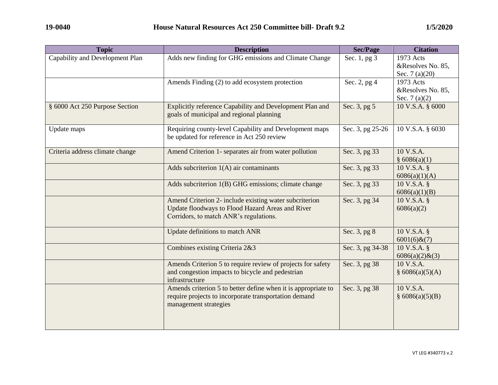| <b>Topic</b>                    | <b>Description</b>                                                                                                                                   | <b>Sec/Page</b>  | <b>Citation</b>                                   |
|---------------------------------|------------------------------------------------------------------------------------------------------------------------------------------------------|------------------|---------------------------------------------------|
| Capability and Development Plan | Adds new finding for GHG emissions and Climate Change                                                                                                | Sec. 1, pg 3     | 1973 Acts<br>&Resolves No. 85,<br>Sec. $7(a)(20)$ |
|                                 | Amends Finding (2) to add ecosystem protection                                                                                                       | Sec. 2, pg 4     | 1973 Acts<br>&Resolves No. 85,<br>Sec. $7(a)(2)$  |
| § 6000 Act 250 Purpose Section  | Explicitly reference Capability and Development Plan and<br>goals of municipal and regional planning                                                 | Sec. 3, pg 5     | 10 V.S.A. § 6000                                  |
| Update maps                     | Requiring county-level Capability and Development maps<br>be updated for reference in Act 250 review                                                 | Sec. 3, pg 25-26 | 10 V.S.A. § 6030                                  |
| Criteria address climate change | Amend Criterion 1- separates air from water pollution                                                                                                | Sec. 3, pg 33    | 10 V.S.A.<br>\$6086(a)(1)                         |
|                                 | Adds subcriterion $1(A)$ air contaminants                                                                                                            | Sec. 3, pg 33    | 10 V.S.A. §<br>6086(a)(1)(A)                      |
|                                 | Adds subcriterion 1(B) GHG emissions; climate change                                                                                                 | Sec. 3, pg 33    | 10 V.S.A. §<br>6086(a)(1)(B)                      |
|                                 | Amend Criterion 2- include existing water subcriterion<br>Update floodways to Flood Hazard Areas and River<br>Corridors, to match ANR's regulations. | Sec. 3, pg 34    | 10 V.S.A. §<br>6086(a)(2)                         |
|                                 | Update definitions to match ANR                                                                                                                      | Sec. 3, pg 8     | 10 V.S.A. §<br>$6001(6)$ & $(7)$                  |
|                                 | Combines existing Criteria 2&3                                                                                                                       | Sec. 3, pg 34-38 | 10 V.S.A. §<br>$6086(a)(2)$ & $(3)$               |
|                                 | Amends Criterion 5 to require review of projects for safety<br>and congestion impacts to bicycle and pedestrian<br>infrastructure                    | Sec. 3, pg 38    | 10 V.S.A.<br>§ 6086(a)(5)(A)                      |
|                                 | Amends criterion 5 to better define when it is appropriate to<br>require projects to incorporate transportation demand<br>management strategies      | Sec. 3, pg 38    | 10 V.S.A.<br>§ 6086(a)(5)(B)                      |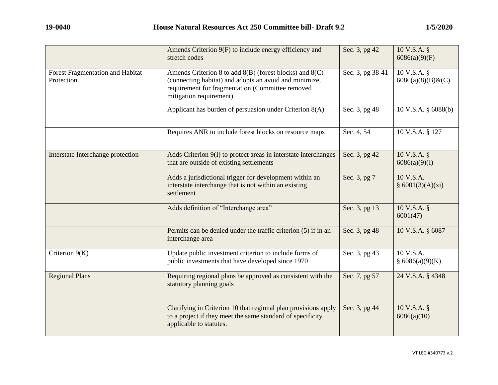|                                                | Amends Criterion 9(F) to include energy efficiency and<br>stretch codes                                                                                                                              | Sec. 3, pg 42    | 10 V.S.A. §<br>6086(a)(9)(F)     |
|------------------------------------------------|------------------------------------------------------------------------------------------------------------------------------------------------------------------------------------------------------|------------------|----------------------------------|
| Forest Fragmentation and Habitat<br>Protection | Amends Criterion 8 to add $8(B)$ (forest blocks) and $8(C)$<br>(connecting habitat) and adopts an avoid and minimize,<br>requirement for fragmentation (Committee removed<br>mitigation requirement) | Sec. 3, pg 38-41 | 10 V.S.A. §<br>6086(a)(8)(B) & C |
|                                                | Applicant has burden of persuasion under Criterion 8(A)                                                                                                                                              | Sec. 3, pg 48    | 10 V.S.A. § 6088(b)              |
|                                                | Requires ANR to include forest blocks on resource maps                                                                                                                                               | Sec. 4, 54       | 10 V.S.A. § 127                  |
| Interstate Interchange protection              | Adds Criterion 9(I) to protect areas in interstate interchanges<br>that are outside of existing settlements                                                                                          | Sec. 3, pg 42    | 10 V.S.A. §<br>6086(a)(9)(I)     |
|                                                | Adds a jurisdictional trigger for development within an<br>interstate interchange that is not within an existing<br>settlement                                                                       | Sec. 3, pg 7     | 10 V.S.A.<br>§ 6001(3)(A)(xi)    |
|                                                | Adds definition of "Interchange area"                                                                                                                                                                | Sec. 3, pg 13    | 10 V.S.A. §<br>6001(47)          |
|                                                | Permits can be denied under the traffic criterion (5) if in an<br>interchange area                                                                                                                   | Sec. 3, pg 48    | 10 V.S.A. § 6087                 |
| Criterion 9(K)                                 | Update public investment criterion to include forms of<br>public investments that have developed since 1970                                                                                          | Sec. 3, pg 43    | 10 V.S.A.<br>§ 6086(a)(9)(K)     |
| <b>Regional Plans</b>                          | Requiring regional plans be approved as consistent with the<br>statutory planning goals                                                                                                              | Sec. 7, pg 57    | 24 V.S.A. § 4348                 |
|                                                | Clarifying in Criterion 10 that regional plan provisions apply<br>to a project if they meet the same standard of specificity<br>applicable to statutes.                                              | Sec. 3, pg 44    | 10 V.S.A. §<br>6086(a)(10)       |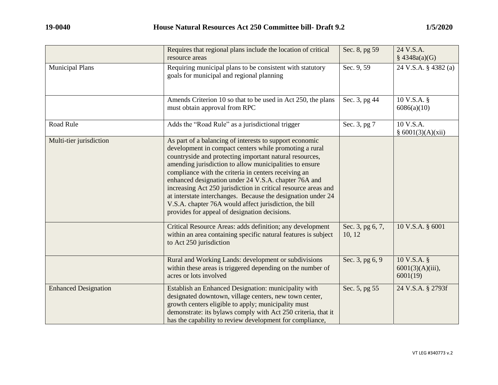|                             | Requires that regional plans include the location of critical<br>resource areas                                                                                                                                                                                                                                                                                                                                                                                                                                                                                                                      | Sec. 8, pg 59              | 24 V.S.A.<br>\$4348a(a)(G)                       |
|-----------------------------|------------------------------------------------------------------------------------------------------------------------------------------------------------------------------------------------------------------------------------------------------------------------------------------------------------------------------------------------------------------------------------------------------------------------------------------------------------------------------------------------------------------------------------------------------------------------------------------------------|----------------------------|--------------------------------------------------|
| <b>Municipal Plans</b>      | Requiring municipal plans to be consistent with statutory<br>goals for municipal and regional planning                                                                                                                                                                                                                                                                                                                                                                                                                                                                                               | Sec. 9, 59                 | 24 V.S.A. § 4382 (a)                             |
|                             | Amends Criterion 10 so that to be used in Act 250, the plans<br>must obtain approval from RPC                                                                                                                                                                                                                                                                                                                                                                                                                                                                                                        | Sec. 3, pg 44              | 10 V.S.A. §<br>6086(a)(10)                       |
| Road Rule                   | Adds the "Road Rule" as a jurisdictional trigger                                                                                                                                                                                                                                                                                                                                                                                                                                                                                                                                                     | Sec. 3, pg 7               | 10 V.S.A.<br>§ 6001(3)(A)(xii)                   |
| Multi-tier jurisdiction     | As part of a balancing of interests to support economic<br>development in compact centers while promoting a rural<br>countryside and protecting important natural resources,<br>amending jurisdiction to allow municipalities to ensure<br>compliance with the criteria in centers receiving an<br>enhanced designation under 24 V.S.A. chapter 76A and<br>increasing Act 250 jurisdiction in critical resource areas and<br>at interstate interchanges. Because the designation under 24<br>V.S.A. chapter 76A would affect jurisdiction, the bill<br>provides for appeal of designation decisions. |                            |                                                  |
|                             | Critical Resource Areas: adds definition; any development<br>within an area containing specific natural features is subject<br>to Act 250 jurisdiction                                                                                                                                                                                                                                                                                                                                                                                                                                               | Sec. 3, pg 6, 7,<br>10, 12 | 10 V.S.A. § 6001                                 |
|                             | Rural and Working Lands: development or subdivisions<br>within these areas is triggered depending on the number of<br>acres or lots involved                                                                                                                                                                                                                                                                                                                                                                                                                                                         | Sec. 3, pg 6, 9            | $10 V.S.A.$ §<br>$6001(3)(A)(iii)$ ,<br>6001(19) |
| <b>Enhanced Designation</b> | Establish an Enhanced Designation: municipality with<br>designated downtown, village centers, new town center,<br>growth centers eligible to apply; municipality must<br>demonstrate: its bylaws comply with Act 250 criteria, that it<br>has the capability to review development for compliance,                                                                                                                                                                                                                                                                                                   | Sec. 5, pg 55              | 24 V.S.A. § 2793f                                |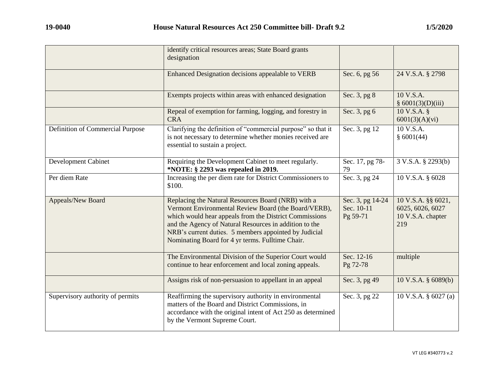|                                  | identify critical resources areas; State Board grants<br>designation                                                                                                                                                                                                                                                                        |                                            |                                                                    |
|----------------------------------|---------------------------------------------------------------------------------------------------------------------------------------------------------------------------------------------------------------------------------------------------------------------------------------------------------------------------------------------|--------------------------------------------|--------------------------------------------------------------------|
|                                  | Enhanced Designation decisions appealable to VERB                                                                                                                                                                                                                                                                                           | Sec. 6, pg 56                              | 24 V.S.A. § 2798                                                   |
|                                  | Exempts projects within areas with enhanced designation                                                                                                                                                                                                                                                                                     | Sec. 3, pg 8                               | 10 V.S.A.<br>§ 6001(3)(D)(iii)                                     |
|                                  | Repeal of exemption for farming, logging, and forestry in<br><b>CRA</b>                                                                                                                                                                                                                                                                     | Sec. 3, pg 6                               | 10 V.S.A. §<br>6001(3)(A)(vi)                                      |
| Definition of Commercial Purpose | Clarifying the definition of "commercial purpose" so that it<br>is not necessary to determine whether monies received are<br>essential to sustain a project.                                                                                                                                                                                | Sec. 3, pg 12                              | 10 V.S.A.<br>\$6001(44)                                            |
| Development Cabinet              | Requiring the Development Cabinet to meet regularly.<br>*NOTE: § 2293 was repealed in 2019.                                                                                                                                                                                                                                                 | Sec. 17, pg 78-<br>79                      | 3 V.S.A. § 2293(b)                                                 |
| Per diem Rate                    | Increasing the per diem rate for District Commissioners to<br>\$100.                                                                                                                                                                                                                                                                        | Sec. 3, pg 24                              | 10 V.S.A. § 6028                                                   |
| Appeals/New Board                | Replacing the Natural Resources Board (NRB) with a<br>Vermont Environmental Review Board (the Board/VERB),<br>which would hear appeals from the District Commissions<br>and the Agency of Natural Resources in addition to the<br>NRB's current duties. 5 members appointed by Judicial<br>Nominating Board for 4 yr terms. Fulltime Chair. | Sec. 3, pg 14-24<br>Sec. 10-11<br>Pg 59-71 | 10 V.S.A. §§ 6021,<br>6025, 6026, 6027<br>10 V.S.A. chapter<br>219 |
|                                  | The Environmental Division of the Superior Court would<br>continue to hear enforcement and local zoning appeals.                                                                                                                                                                                                                            | Sec. 12-16<br>Pg 72-78                     | multiple                                                           |
|                                  | Assigns risk of non-persuasion to appellant in an appeal                                                                                                                                                                                                                                                                                    | Sec. 3, pg 49                              | 10 V.S.A. § 6089(b)                                                |
| Supervisory authority of permits | Reaffirming the supervisory authority in environmental<br>matters of the Board and District Commissions, in<br>accordance with the original intent of Act 250 as determined<br>by the Vermont Supreme Court.                                                                                                                                | Sec. 3, pg 22                              | 10 V.S.A. § 6027 (a)                                               |